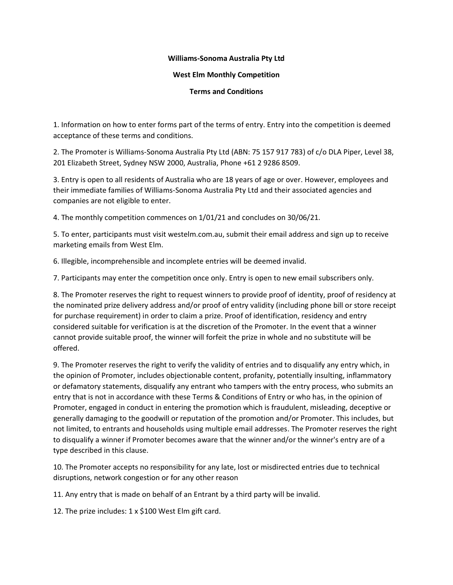## **Williams-Sonoma Australia Pty Ltd**

## **West Elm Monthly Competition**

## **Terms and Conditions**

1. Information on how to enter forms part of the terms of entry. Entry into the competition is deemed acceptance of these terms and conditions.

2. The Promoter is Williams-Sonoma Australia Pty Ltd (ABN: 75 157 917 783) of c/o DLA Piper, Level 38, 201 Elizabeth Street, Sydney NSW 2000, Australia, Phone +61 2 9286 8509.

3. Entry is open to all residents of Australia who are 18 years of age or over. However, employees and their immediate families of Williams-Sonoma Australia Pty Ltd and their associated agencies and companies are not eligible to enter.

4. The monthly competition commences on 1/01/21 and concludes on 30/06/21.

5. To enter, participants must visit westelm.com.au, submit their email address and sign up to receive marketing emails from West Elm.

6. Illegible, incomprehensible and incomplete entries will be deemed invalid.

7. Participants may enter the competition once only. Entry is open to new email subscribers only.

8. The Promoter reserves the right to request winners to provide proof of identity, proof of residency at the nominated prize delivery address and/or proof of entry validity (including phone bill or store receipt for purchase requirement) in order to claim a prize. Proof of identification, residency and entry considered suitable for verification is at the discretion of the Promoter. In the event that a winner cannot provide suitable proof, the winner will forfeit the prize in whole and no substitute will be offered.

9. The Promoter reserves the right to verify the validity of entries and to disqualify any entry which, in the opinion of Promoter, includes objectionable content, profanity, potentially insulting, inflammatory or defamatory statements, disqualify any entrant who tampers with the entry process, who submits an entry that is not in accordance with these Terms & Conditions of Entry or who has, in the opinion of Promoter, engaged in conduct in entering the promotion which is fraudulent, misleading, deceptive or generally damaging to the goodwill or reputation of the promotion and/or Promoter. This includes, but not limited, to entrants and households using multiple email addresses. The Promoter reserves the right to disqualify a winner if Promoter becomes aware that the winner and/or the winner's entry are of a type described in this clause.

10. The Promoter accepts no responsibility for any late, lost or misdirected entries due to technical disruptions, network congestion or for any other reason

11. Any entry that is made on behalf of an Entrant by a third party will be invalid.

12. The prize includes: 1 x \$100 West Elm gift card.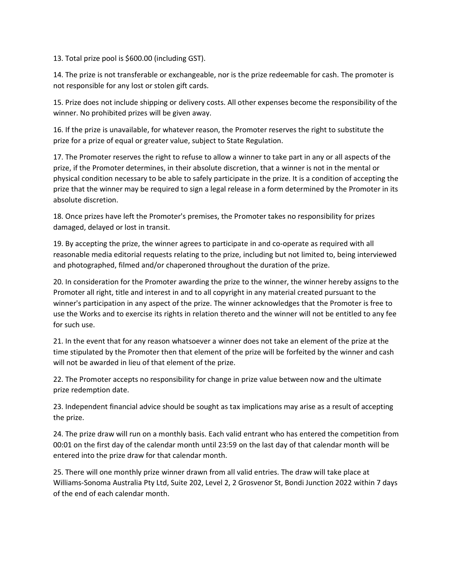13. Total prize pool is \$600.00 (including GST).

14. The prize is not transferable or exchangeable, nor is the prize redeemable for cash. The promoter is not responsible for any lost or stolen gift cards.

15. Prize does not include shipping or delivery costs. All other expenses become the responsibility of the winner. No prohibited prizes will be given away.

16. If the prize is unavailable, for whatever reason, the Promoter reserves the right to substitute the prize for a prize of equal or greater value, subject to State Regulation.

17. The Promoter reserves the right to refuse to allow a winner to take part in any or all aspects of the prize, if the Promoter determines, in their absolute discretion, that a winner is not in the mental or physical condition necessary to be able to safely participate in the prize. It is a condition of accepting the prize that the winner may be required to sign a legal release in a form determined by the Promoter in its absolute discretion.

18. Once prizes have left the Promoter's premises, the Promoter takes no responsibility for prizes damaged, delayed or lost in transit.

19. By accepting the prize, the winner agrees to participate in and co-operate as required with all reasonable media editorial requests relating to the prize, including but not limited to, being interviewed and photographed, filmed and/or chaperoned throughout the duration of the prize.

20. In consideration for the Promoter awarding the prize to the winner, the winner hereby assigns to the Promoter all right, title and interest in and to all copyright in any material created pursuant to the winner's participation in any aspect of the prize. The winner acknowledges that the Promoter is free to use the Works and to exercise its rights in relation thereto and the winner will not be entitled to any fee for such use.

21. In the event that for any reason whatsoever a winner does not take an element of the prize at the time stipulated by the Promoter then that element of the prize will be forfeited by the winner and cash will not be awarded in lieu of that element of the prize.

22. The Promoter accepts no responsibility for change in prize value between now and the ultimate prize redemption date.

23. Independent financial advice should be sought as tax implications may arise as a result of accepting the prize.

24. The prize draw will run on a monthly basis. Each valid entrant who has entered the competition from 00:01 on the first day of the calendar month until 23:59 on the last day of that calendar month will be entered into the prize draw for that calendar month.

25. There will one monthly prize winner drawn from all valid entries. The draw will take place at Williams-Sonoma Australia Pty Ltd, Suite 202, Level 2, 2 Grosvenor St, Bondi Junction 2022 within 7 days of the end of each calendar month.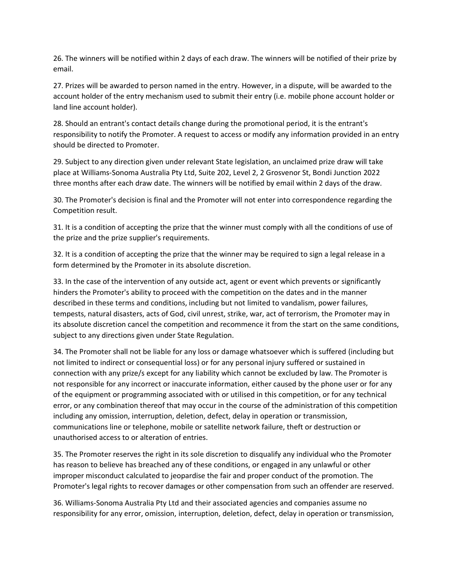26. The winners will be notified within 2 days of each draw. The winners will be notified of their prize by email.

27. Prizes will be awarded to person named in the entry. However, in a dispute, will be awarded to the account holder of the entry mechanism used to submit their entry (i.e. mobile phone account holder or land line account holder).

28. Should an entrant's contact details change during the promotional period, it is the entrant's responsibility to notify the Promoter. A request to access or modify any information provided in an entry should be directed to Promoter.

29. Subject to any direction given under relevant State legislation, an unclaimed prize draw will take place at Williams-Sonoma Australia Pty Ltd, Suite 202, Level 2, 2 Grosvenor St, Bondi Junction 2022 three months after each draw date. The winners will be notified by email within 2 days of the draw.

30. The Promoter's decision is final and the Promoter will not enter into correspondence regarding the Competition result.

31. It is a condition of accepting the prize that the winner must comply with all the conditions of use of the prize and the prize supplier's requirements.

32. It is a condition of accepting the prize that the winner may be required to sign a legal release in a form determined by the Promoter in its absolute discretion.

33. In the case of the intervention of any outside act, agent or event which prevents or significantly hinders the Promoter's ability to proceed with the competition on the dates and in the manner described in these terms and conditions, including but not limited to vandalism, power failures, tempests, natural disasters, acts of God, civil unrest, strike, war, act of terrorism, the Promoter may in its absolute discretion cancel the competition and recommence it from the start on the same conditions, subject to any directions given under State Regulation.

34. The Promoter shall not be liable for any loss or damage whatsoever which is suffered (including but not limited to indirect or consequential loss) or for any personal injury suffered or sustained in connection with any prize/s except for any liability which cannot be excluded by law. The Promoter is not responsible for any incorrect or inaccurate information, either caused by the phone user or for any of the equipment or programming associated with or utilised in this competition, or for any technical error, or any combination thereof that may occur in the course of the administration of this competition including any omission, interruption, deletion, defect, delay in operation or transmission, communications line or telephone, mobile or satellite network failure, theft or destruction or unauthorised access to or alteration of entries.

35. The Promoter reserves the right in its sole discretion to disqualify any individual who the Promoter has reason to believe has breached any of these conditions, or engaged in any unlawful or other improper misconduct calculated to jeopardise the fair and proper conduct of the promotion. The Promoter's legal rights to recover damages or other compensation from such an offender are reserved.

36. Williams-Sonoma Australia Pty Ltd and their associated agencies and companies assume no responsibility for any error, omission, interruption, deletion, defect, delay in operation or transmission,